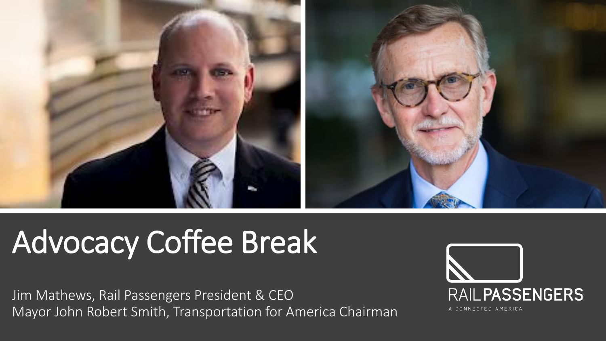

## Advocacy Coffee Break

Jim Mathews, Rail Passengers President & CEO Mayor John Robert Smith, Transportation for America Chairman

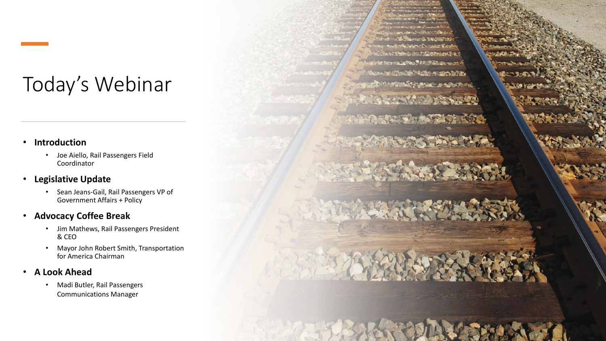### Today's Webinar

#### • **Introduction**

• Joe Aiello, Rail Passengers Field Coordinator

#### • **Legislative Update**

• Sean Jeans-Gail, Rail Passengers VP of Government Affairs + Policy

### • **Advocacy Coffee Break**

- Jim Mathews, Rail Passengers President & CEO
- Mayor John Robert Smith, Transportation for America Chairman

### • **A Look Ahead**

• Madi Butler, Rail Passengers Communications Manager

Elsky Hopes Art Monday the server who will be a common of **Sound College Manufacturer COMMANDATION** All Records to his to A PARTICULAR TELEVISION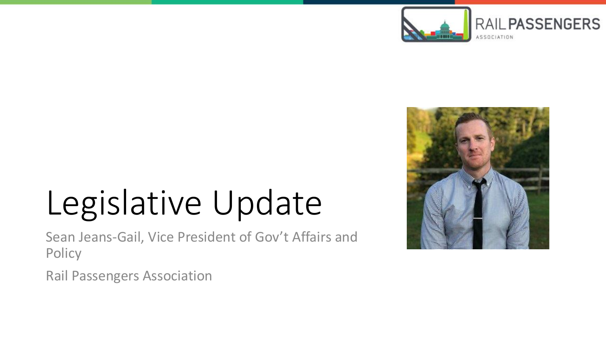



# Legislative Update

Sean Jeans-Gail, Vice President of Gov't Affairs and **Policy** 

Rail Passengers Association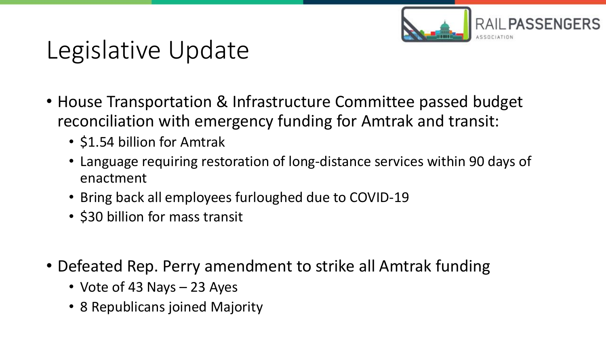

## Legislative Update

- House Transportation & Infrastructure Committee passed budget reconciliation with emergency funding for Amtrak and transit:
	- \$1.54 billion for Amtrak
	- Language requiring restoration of long-distance services within 90 days of enactment
	- Bring back all employees furloughed due to COVID-19
	- \$30 billion for mass transit
- Defeated Rep. Perry amendment to strike all Amtrak funding
	- Vote of 43 Nays 23 Ayes
	- 8 Republicans joined Majority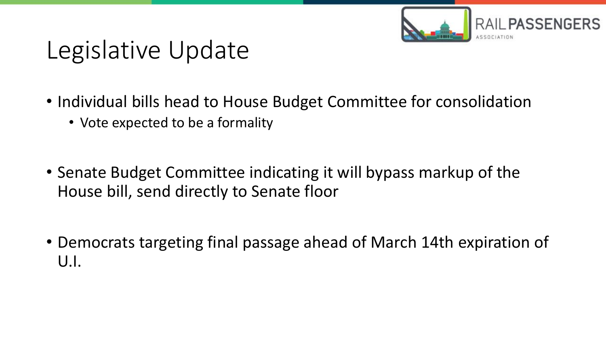

## Legislative Update

- Individual bills head to House Budget Committee for consolidation
	- Vote expected to be a formality
- Senate Budget Committee indicating it will bypass markup of the House bill, send directly to Senate floor
- Democrats targeting final passage ahead of March 14th expiration of U.I.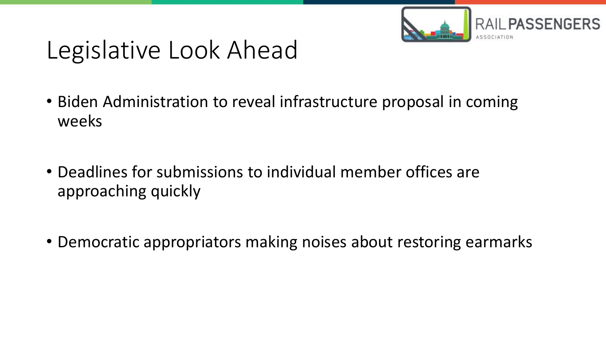

## Legislative Look Ahead

- Biden Administration to reveal infrastructure proposal in coming weeks
- Deadlines for submissions to individual member offices are approaching quickly
- Democratic appropriators making noises about restoring earmarks